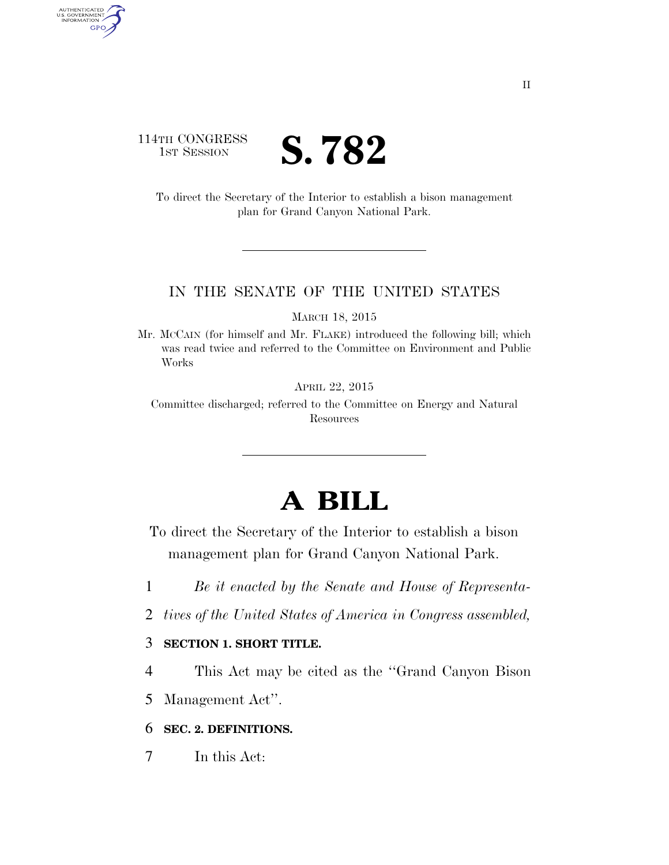## 114TH CONGRESS **IST SESSION S. 782**

AUTHENTICATED<br>U.S. GOVERNMENT<br>INFORMATION GPO

> To direct the Secretary of the Interior to establish a bison management plan for Grand Canyon National Park.

#### IN THE SENATE OF THE UNITED STATES

MARCH 18, 2015

Mr. MCCAIN (for himself and Mr. FLAKE) introduced the following bill; which was read twice and referred to the Committee on Environment and Public Works

APRIL 22, 2015

Committee discharged; referred to the Committee on Energy and Natural Resources

# **A BILL**

To direct the Secretary of the Interior to establish a bison management plan for Grand Canyon National Park.

- 1 *Be it enacted by the Senate and House of Representa-*
- 2 *tives of the United States of America in Congress assembled,*

### 3 **SECTION 1. SHORT TITLE.**

- 4 This Act may be cited as the ''Grand Canyon Bison
- 5 Management Act''.

### 6 **SEC. 2. DEFINITIONS.**

7 In this Act: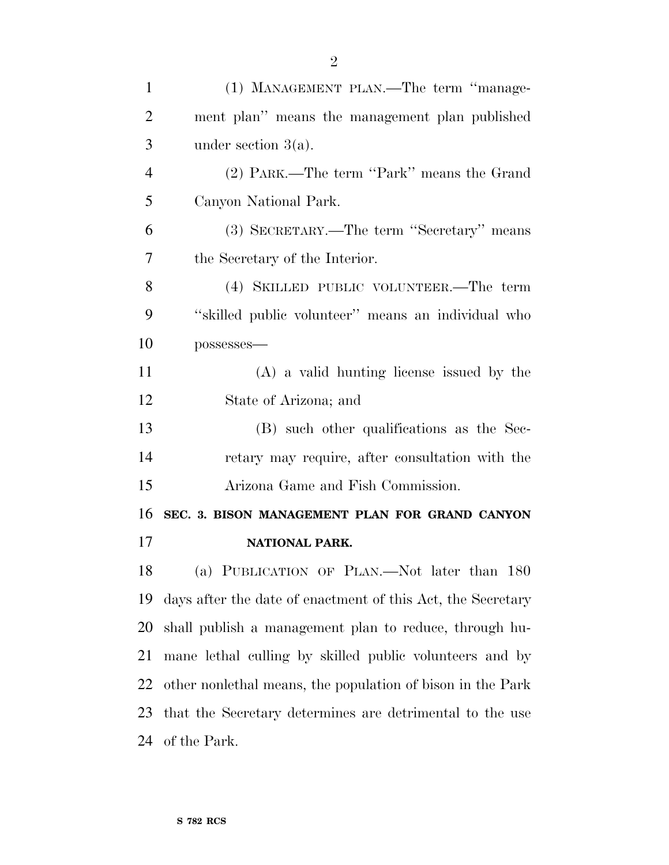| $\mathbf{1}$   | (1) MANAGEMENT PLAN.—The term "manage-                      |
|----------------|-------------------------------------------------------------|
| $\overline{2}$ | ment plan" means the management plan published              |
| 3              | under section $3(a)$ .                                      |
| $\overline{4}$ | (2) PARK.—The term "Park" means the Grand                   |
| 5              | Canyon National Park.                                       |
| 6              | (3) SECRETARY.—The term "Secretary" means                   |
| 7              | the Secretary of the Interior.                              |
| 8              | (4) SKILLED PUBLIC VOLUNTEER.—The term                      |
| 9              | "skilled public volunteer" means an individual who          |
| 10             | possesses-                                                  |
| 11             | $(A)$ a valid hunting license issued by the                 |
| 12             | State of Arizona; and                                       |
| 13             | (B) such other qualifications as the Sec-                   |
| 14             | retary may require, after consultation with the             |
| 15             | Arizona Game and Fish Commission.                           |
| 16             | SEC. 3. BISON MANAGEMENT PLAN FOR GRAND CANYON              |
| 17             | NATIONAL PARK.                                              |
|                |                                                             |
|                | (a) PUBLICATION OF PLAN.—Not later than 180                 |
| 18<br>19       | days after the date of enactment of this Act, the Secretary |
| 20             | shall publish a management plan to reduce, through hu-      |
| 21             | mane lethal culling by skilled public volunteers and by     |
| 22             | other nonlethal means, the population of bison in the Park  |
| 23             | that the Secretary determines are detrimental to the use    |
| 24             | of the Park.                                                |